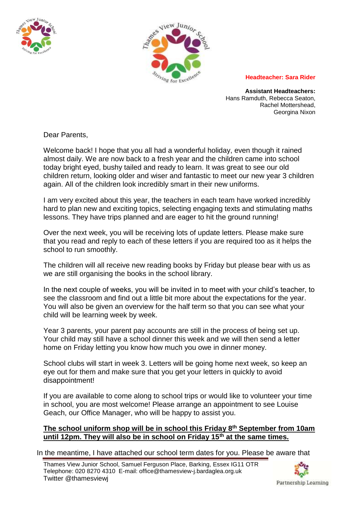



## **Headteacher: Sara Rider**

**Assistant Headteachers:** Hans Ramduth, Rebecca Seaton, Rachel Mottershead, Georgina Nixon

Dear Parents,

Welcome back! I hope that you all had a wonderful holiday, even though it rained almost daily. We are now back to a fresh year and the children came into school today bright eyed, bushy tailed and ready to learn. It was great to see our old children return, looking older and wiser and fantastic to meet our new year 3 children again. All of the children look incredibly smart in their new uniforms.

I am very excited about this year, the teachers in each team have worked incredibly hard to plan new and exciting topics, selecting engaging texts and stimulating maths lessons. They have trips planned and are eager to hit the ground running!

Over the next week, you will be receiving lots of update letters. Please make sure that you read and reply to each of these letters if you are required too as it helps the school to run smoothly.

The children will all receive new reading books by Friday but please bear with us as we are still organising the books in the school library.

In the next couple of weeks, you will be invited in to meet with your child's teacher, to see the classroom and find out a little bit more about the expectations for the year. You will also be given an overview for the half term so that you can see what your child will be learning week by week.

Year 3 parents, your parent pay accounts are still in the process of being set up. Your child may still have a school dinner this week and we will then send a letter home on Friday letting you know how much you owe in dinner money.

School clubs will start in week 3. Letters will be going home next week, so keep an eye out for them and make sure that you get your letters in quickly to avoid disappointment!

If you are available to come along to school trips or would like to volunteer your time in school, you are most welcome! Please arrange an appointment to see Louise Geach, our Office Manager, who will be happy to assist you.

## **The school uniform shop will be in school this Friday 8th September from 10am until 12pm. They will also be in school on Friday 15th at the same times.**

In the meantime, I have attached our school term dates for you. Please be aware that